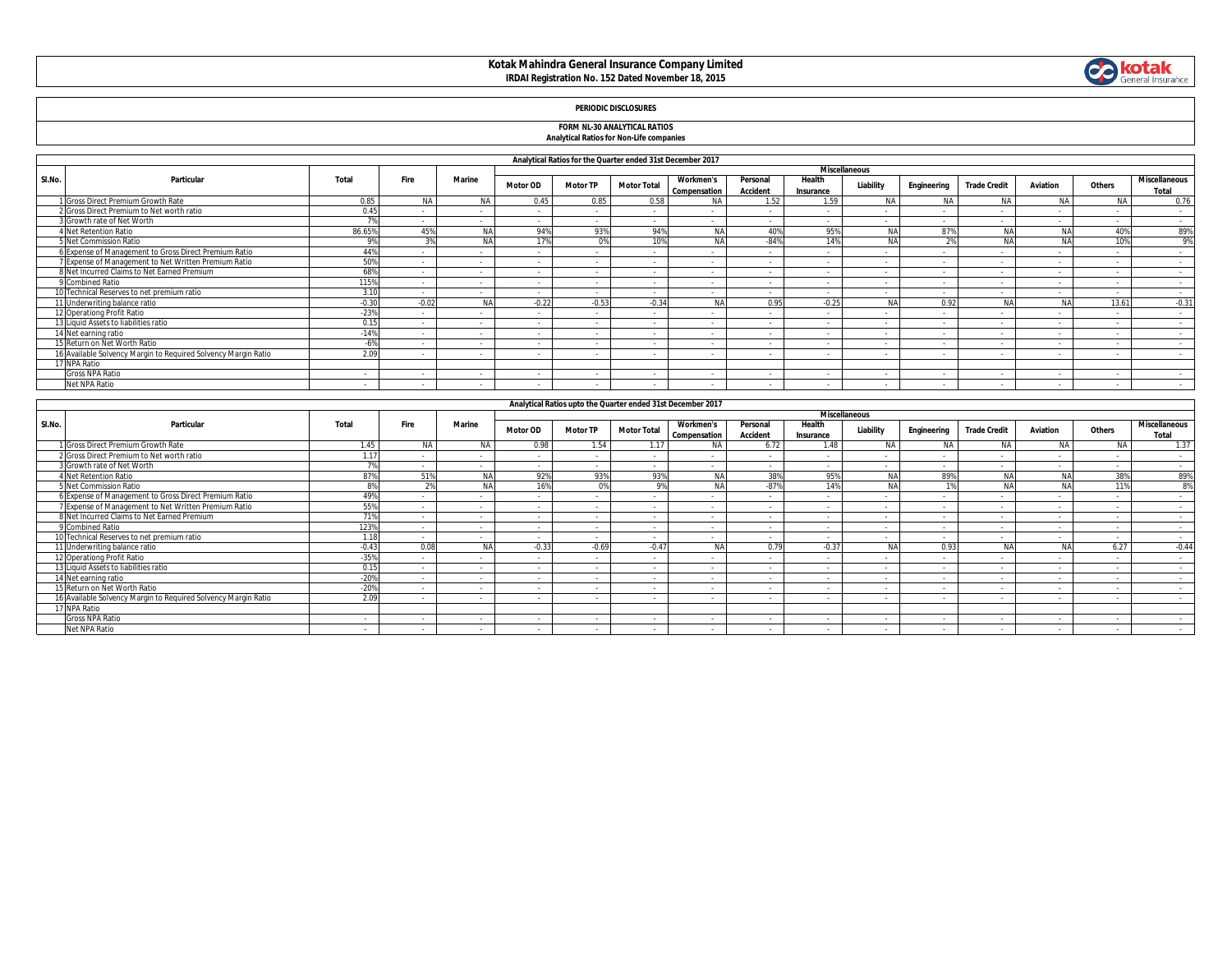# **Kotak Mahindra General Insurance Company Limited IRDAI Registration No. 152 Dated November 18, 2015**



### **PERIODIC DISCLOSURES**

# **FORM NL-30 ANALYTICAL RATIOS Analytical Ratios for Non-Life companies**

|  | <b>Analytical Ratios for Non-Life companies</b> |  |
|--|-------------------------------------------------|--|
|  |                                                 |  |
|  |                                                 |  |

|        |                                                                |                |           |               |                 |                          | Analytical Ratios for the Quarter ended 31st December 2017 |                                  |                             |                          |                      |             |                     |           |        |                               |
|--------|----------------------------------------------------------------|----------------|-----------|---------------|-----------------|--------------------------|------------------------------------------------------------|----------------------------------|-----------------------------|--------------------------|----------------------|-------------|---------------------|-----------|--------|-------------------------------|
|        |                                                                |                |           |               |                 |                          |                                                            |                                  |                             |                          | <b>Miscellaneous</b> |             |                     |           |        |                               |
| SI.No. | Particular                                                     | Total          | Fire      | <b>Marine</b> | <b>Motor OD</b> | <b>Motor TP</b>          | <b>Motor Total</b>                                         | <b>Workmen's</b><br>Compensation | Personal<br><b>Accident</b> | Health<br>Insurance      | Liability            | Engineering | <b>Trade Credit</b> | Aviation  | Others | <b>Miscellaneous</b><br>Total |
|        | 1 Gross Direct Premium Growth Rate                             | 0.85           | <b>NA</b> | <b>NA</b>     | 0.45            | 0.85                     | 0.58                                                       | <b>NA</b>                        | 1.52                        | 1.59                     | NA                   | <b>NA</b>   | <b>NA</b>           | NA        | NA     | 0.76                          |
|        | 2 Gross Direct Premium to Net worth ratio                      | 0.45           |           | $\sim$        | $\sim$          | $\sim$                   | $\sim$                                                     |                                  | $\sim$                      |                          |                      |             | $\sim$              | $\sim$    | $\sim$ | $\sim$                        |
|        | 3 Growth rate of Net Worth                                     |                |           | $\sim$        | . .             | $\sim$                   | $\sim$                                                     |                                  | $\sim$                      | $\sim$                   |                      |             |                     |           |        | $\sim$                        |
|        | 4 Net Retention Ratio                                          | 86.65%         | 45%       | NA            | 94%             | 93%                      | 94%                                                        | NA                               | 40%                         | 95%                      | <b>NA</b>            | 87%         | NA                  | <b>NA</b> | 40%    | 89%                           |
|        | 5 Net Commission Ratio                                         | Q <sub>0</sub> | 20        | NA            | 17%             | 0%                       | 10%                                                        | NA                               | $-84%$                      | 14%                      |                      |             | <b>BL</b>           | <b>NA</b> | 10%    | 9%                            |
|        | 6 Expense of Management to Gross Direct Premium Ratio          | 44%            |           | $\sim$        | $\sim$          |                          |                                                            |                                  |                             |                          |                      |             |                     |           |        | $\sim$                        |
|        | 7 Expense of Management to Net Written Premium Ratio           | 50%            |           |               | $\sim$          |                          |                                                            |                                  |                             |                          |                      |             | $\sim$              |           |        | $\sim$                        |
|        | 8 Net Incurred Claims to Net Earned Premium                    | 68%            |           | $\sim$        | $\sim$          | $\sim$                   | $\sim$                                                     | $\sim$                           | $\sim$                      | $\sim$                   | $\sim$               | $\sim$      | $\sim$              | $\sim$    | $\sim$ | $\sim$                        |
|        | 9 Combined Ratio                                               | 115%           |           | $\sim$        | $\sim$          | $\sim$                   |                                                            |                                  | $\sim$                      |                          |                      |             | $\sim$              |           |        | $\sim$                        |
|        | 10 Technical Reserves to net premium ratio                     | 3.10           | $\sim$    | $\sim$        | $\sim$          | $\sim$                   | $\sim$                                                     | $\sim$                           | $\sim$                      | $\sim$                   | $\sim$               | $\sim$      | $\sim$              | $\sim$    | $\sim$ | $\sim$ $-$                    |
|        | 11 Underwriting balance ratio                                  | $-0.30$        | $-0.02$   | NA            | $-0.22$         | $-0.53$                  | $-0.34$                                                    | NA                               | 0.95                        | $-0.25$                  |                      | 0.92        | <b>BL</b>           | <b>NA</b> | 13.61  | $-0.31$                       |
|        | 12 Operationg Profit Ratio                                     | $-23%$         |           | $\sim$        | $\sim$          | $\sim$                   |                                                            |                                  | $\sim$                      |                          |                      | $\sim$      | $\sim$              |           |        | $\sim$                        |
|        | 13 Liquid Assets to liabilities ratio                          | 0.15           |           | $\sim$        | $\sim$          | $\overline{\phantom{a}}$ | $\sim$                                                     |                                  | $\overline{\phantom{a}}$    |                          |                      |             | $\sim$              |           |        | $\sim$                        |
|        | 14 Net earning ratio                                           | $-14%$         | $\sim$    | $\sim$        | $\sim$          | $\sim$                   | $\sim$                                                     | $\sim$                           | $\sim$                      | $\sim$                   | $\sim$               | $\sim$      | $\sim$              | $\sim$    | $\sim$ | $\sim$                        |
|        | 15 Return on Net Worth Ratio                                   |                |           | $\sim$        | $\sim$          | $\sim$                   | $\sim$                                                     |                                  | $\sim$                      |                          | $\sim$               | $\sim$      | $\sim$              |           | $\sim$ | $\sim$                        |
|        | 16 Available Solvency Margin to Required Solvency Margin Ratio | 2.09           |           | $\sim$        | $\sim$          | $\overline{\phantom{a}}$ | $\sim$                                                     | $\sim$                           | $\sim$                      | $\overline{\phantom{a}}$ | $\sim$               | $\sim$      | $\sim$              |           | $\sim$ | $\sim$                        |
|        | 17 NPA Ratio                                                   |                |           |               |                 |                          |                                                            |                                  |                             |                          |                      |             |                     |           |        |                               |
|        | <b>Gross NPA Ratio</b>                                         | $\sim$         |           | $\sim$        | $\sim$          | $\sim$                   | $\sim$                                                     | $\sim$                           | $\sim$                      | $\overline{\phantom{a}}$ | $\sim$               | $\sim$      | $\sim$              |           | $\sim$ | $\sim$                        |
|        | Net NPA Ratio                                                  | $\sim$         |           | $\sim$        | $\sim$          | $\sim$                   |                                                            |                                  |                             |                          |                      |             | $\sim$              |           | $\sim$ | $\sim$                        |

|        |                                                                |                |                 |               |                 |                 | Analytical Ratios upto the Quarter ended 31st December 2017 |                                  |                             |                     |                      |             |                     |                 |        |                               |
|--------|----------------------------------------------------------------|----------------|-----------------|---------------|-----------------|-----------------|-------------------------------------------------------------|----------------------------------|-----------------------------|---------------------|----------------------|-------------|---------------------|-----------------|--------|-------------------------------|
|        |                                                                |                |                 |               |                 |                 |                                                             |                                  |                             |                     | <b>Miscellaneous</b> |             |                     |                 |        |                               |
| SI.No. | Particular                                                     | Total          | <b>Fire</b>     | <b>Marine</b> | <b>Motor OD</b> | <b>Motor TP</b> | <b>Motor Total</b>                                          | <b>Workmen's</b><br>Compensation | Personal<br><b>Accident</b> | Health<br>Insurance | Liability            | Engineering | <b>Trade Credit</b> | <b>Aviation</b> | Others | <b>Miscellaneous</b><br>Total |
|        | I Gross Direct Premium Growth Rate                             | 1.45           | <b>NA</b>       | <b>NA</b>     | 0.98            | 1.54            | 1.17                                                        | NA                               | 6.72                        | 1.48                | <b>NA</b>            | <b>NA</b>   | N.                  | <b>NA</b>       |        | 1.37                          |
|        | 2 Gross Direct Premium to Net worth ratio                      | 1.17           |                 |               | - 14            | $\sim$          |                                                             |                                  |                             |                     |                      |             | $\sim$              | $\sim$          |        | $\sim$                        |
|        | 3 Growth rate of Net Worth                                     | $\sim$ 0.4     |                 |               |                 | $\sim$          |                                                             |                                  |                             |                     |                      |             | $\sim$              |                 |        | $\sim$                        |
|        | <b>Net Retention Ratio</b>                                     | 87%            | 51%             | <b>NA</b>     | 92%             | 93%             | 93%                                                         | <b>NA</b>                        | 38%                         | 95%                 | <b>NA</b>            | 89%         | NA                  | <b>NA</b>       | 38%    | 89%                           |
|        | 5 Net Commission Ratio                                         | 0 <sup>0</sup> | 20 <sub>1</sub> | <b>NA</b>     | 16%             | 0%              | $Q\%$                                                       | <b>NA</b>                        | $-87%$                      | 14%                 | <b>NA</b>            |             | <b>AIA</b>          | NA              | 4.40   | 8%                            |
|        | 6 Expense of Management to Gross Direct Premium Ratio          | 49%            | $\sim$          |               | $\sim$          | $\sim$          | $\sim$                                                      |                                  | $\sim$                      | $\sim$              | $\sim$               | $\sim$      | $\sim$              | $\sim$          |        | $\sim$                        |
|        | 7 Expense of Management to Net Written Premium Ratio           | 55%            |                 |               | $\sim$          | $\sim$          | $\sim$                                                      |                                  |                             |                     |                      |             | $\sim$              |                 |        | $\sim$                        |
|        | 8 Net Incurred Claims to Net Earned Premium                    | 71%            |                 |               | $\sim$          | $\sim$          | $\sim$                                                      |                                  |                             |                     |                      |             | $\sim$              |                 |        | $\sim$                        |
|        | 9 Combined Ratio                                               | 123%           | $\sim$          |               | $\sim$          | $\sim$          | $\sim$                                                      |                                  | $\sim$                      |                     |                      | $\sim$      | $\sim$              | $\sim$          | $\sim$ | $\sim$                        |
|        | 10 Technical Reserves to net premium ratio                     | 1.18           |                 |               |                 | $\sim$          | $\sim$                                                      |                                  |                             |                     |                      |             |                     |                 |        | $\sim$                        |
|        | 11 Underwriting balance ratio                                  | $-0.43$        | 0.08            | NA            | $-0.3$          | $-0.69$         | $-0.47$                                                     | N/                               | 0.79                        | $-0.37$             |                      | 0.93        |                     | <b>NIA</b>      | 6.27   | $-0.44$                       |
|        | 12 Operationg Profit Ratio                                     | $-35%$         |                 |               |                 | $\sim$          |                                                             |                                  |                             |                     |                      |             | $\sim$              |                 |        | $\sim$                        |
|        | 13 Liquid Assets to liabilities ratio                          | 0.15           | $\sim$          |               | $\sim$          | $\sim$          | $\sim$                                                      |                                  | $\sim$                      |                     | $\sim$               | $\sim$      | $\sim$              | $\sim$          | $\sim$ | $\sim$                        |
|        | 14 Net earning ratio                                           | $-20%$         |                 |               | $\sim$          | $\sim$          |                                                             |                                  |                             |                     |                      |             | $\sim$              |                 |        | $\sim$                        |
|        | 15 Return on Net Worth Ratio                                   | $-20%$         | $\sim$          |               | $\sim$          | $\sim$          | $\sim$                                                      |                                  | $\sim$                      |                     | $\sim$               | $\sim$      | $\sim$              |                 | $\sim$ | $\sim$                        |
|        | 16 Available Solvency Margin to Required Solvency Margin Ratio | 2.09           |                 |               | $\sim$          | $\sim$          | $\sim$                                                      |                                  | $\sim$                      |                     | $\sim$               | $\sim$      | $\sim$              |                 | $\sim$ | $\sim$                        |
|        | 7 NPA Ratio                                                    |                |                 |               |                 |                 |                                                             |                                  |                             |                     |                      |             |                     |                 |        |                               |
|        | <b>Gross NPA Ratio</b>                                         | $\sim$         |                 |               | $\sim$          | $\sim$          | $\sim$                                                      |                                  |                             |                     | . .                  |             | $\sim$              |                 |        | $\sim$                        |
|        | Net NPA Ratio                                                  | $\sim$         |                 |               | $\sim$          | $\sim$          |                                                             |                                  | $\sim$                      |                     |                      | $\sim$      | $\sim$              | $\sim$          |        | $\sim$                        |